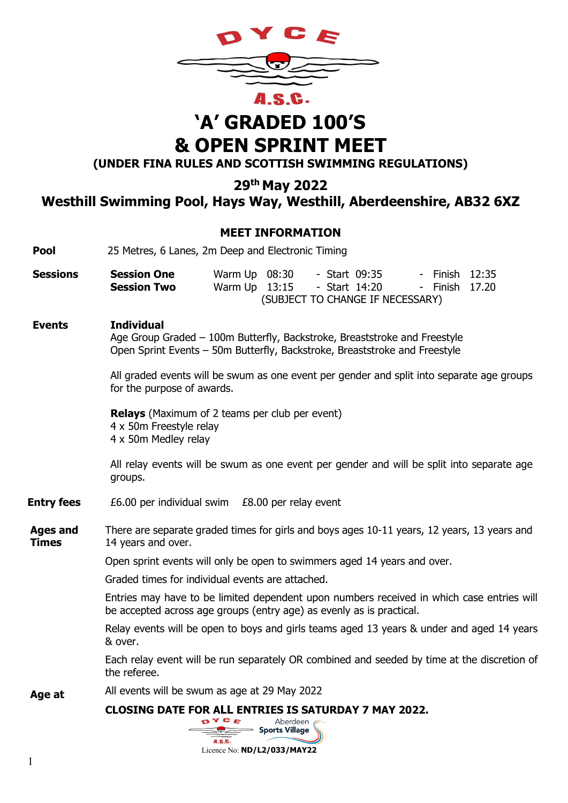

# 'A' GRADED 100'S & OPEN SPRINT MEET

(UNDER FINA RULES AND SCOTTISH SWIMMING REGULATIONS)

29th May 2022

Westhill Swimming Pool, Hays Way, Westhill, Aberdeenshire, AB32 6XZ

### MEET INFORMATION

| <b>Pool</b>                     | 25 Metres, 6 Lanes, 2m Deep and Electronic Timing                                                                                                                                                                                   |                                                                                                                                                                   |  |  |  |  |  |  |  |  |  |
|---------------------------------|-------------------------------------------------------------------------------------------------------------------------------------------------------------------------------------------------------------------------------------|-------------------------------------------------------------------------------------------------------------------------------------------------------------------|--|--|--|--|--|--|--|--|--|
| <b>Sessions</b>                 | <b>Session One</b><br><b>Session Two</b>                                                                                                                                                                                            | Warm Up 08:30<br>- Start 09:35<br>- Finish 12:35<br>Warm Up 13:15<br>- Start 14:20<br>- Finish 17.20<br>(SUBJECT TO CHANGE IF NECESSARY)                          |  |  |  |  |  |  |  |  |  |
| <b>Events</b>                   | <b>Individual</b>                                                                                                                                                                                                                   | Age Group Graded - 100m Butterfly, Backstroke, Breaststroke and Freestyle<br>Open Sprint Events - 50m Butterfly, Backstroke, Breaststroke and Freestyle           |  |  |  |  |  |  |  |  |  |
|                                 | All graded events will be swum as one event per gender and split into separate age groups<br>for the purpose of awards.<br><b>Relays</b> (Maximum of 2 teams per club per event)<br>4 x 50m Freestyle relay<br>4 x 50m Medley relay |                                                                                                                                                                   |  |  |  |  |  |  |  |  |  |
|                                 |                                                                                                                                                                                                                                     |                                                                                                                                                                   |  |  |  |  |  |  |  |  |  |
|                                 | groups.                                                                                                                                                                                                                             | All relay events will be swum as one event per gender and will be split into separate age                                                                         |  |  |  |  |  |  |  |  |  |
| <b>Entry fees</b>               |                                                                                                                                                                                                                                     | £6.00 per individual swim £8.00 per relay event                                                                                                                   |  |  |  |  |  |  |  |  |  |
| <b>Ages and</b><br><b>Times</b> | 14 years and over.                                                                                                                                                                                                                  | There are separate graded times for girls and boys ages 10-11 years, 12 years, 13 years and                                                                       |  |  |  |  |  |  |  |  |  |
|                                 | Open sprint events will only be open to swimmers aged 14 years and over.                                                                                                                                                            |                                                                                                                                                                   |  |  |  |  |  |  |  |  |  |
|                                 |                                                                                                                                                                                                                                     | Graded times for individual events are attached.                                                                                                                  |  |  |  |  |  |  |  |  |  |
|                                 |                                                                                                                                                                                                                                     | Entries may have to be limited dependent upon numbers received in which case entries will<br>be accepted across age groups (entry age) as evenly as is practical. |  |  |  |  |  |  |  |  |  |
|                                 | & over.                                                                                                                                                                                                                             | Relay events will be open to boys and girls teams aged 13 years & under and aged 14 years                                                                         |  |  |  |  |  |  |  |  |  |
|                                 | the referee.                                                                                                                                                                                                                        | Each relay event will be run separately OR combined and seeded by time at the discretion of                                                                       |  |  |  |  |  |  |  |  |  |
| Age at                          |                                                                                                                                                                                                                                     | All events will be swum as age at 29 May 2022                                                                                                                     |  |  |  |  |  |  |  |  |  |
|                                 |                                                                                                                                                                                                                                     | <b>CLOSING DATE FOR ALL ENTRIES IS SATURDAY 7 MAY 2022.</b><br>Aberdeen<br>Sports Village<br>A.S.C.                                                               |  |  |  |  |  |  |  |  |  |

Licence No: ND/L2/033/MAY22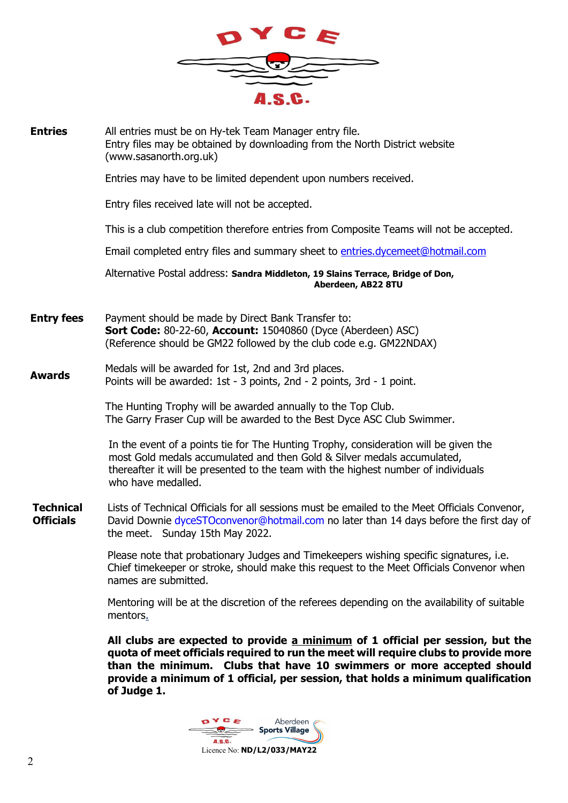

| <b>Entries</b>                       | All entries must be on Hy-tek Team Manager entry file.<br>Entry files may be obtained by downloading from the North District website<br>(www.sasanorth.org.uk)                                                                                                              |
|--------------------------------------|-----------------------------------------------------------------------------------------------------------------------------------------------------------------------------------------------------------------------------------------------------------------------------|
|                                      | Entries may have to be limited dependent upon numbers received.                                                                                                                                                                                                             |
|                                      | Entry files received late will not be accepted.                                                                                                                                                                                                                             |
|                                      | This is a club competition therefore entries from Composite Teams will not be accepted.                                                                                                                                                                                     |
|                                      | Email completed entry files and summary sheet to entries.dycemeet@hotmail.com                                                                                                                                                                                               |
|                                      | Alternative Postal address: Sandra Middleton, 19 Slains Terrace, Bridge of Don,<br>Aberdeen, AB22 8TU                                                                                                                                                                       |
| <b>Entry fees</b>                    | Payment should be made by Direct Bank Transfer to:<br><b>Sort Code: 80-22-60, Account: 15040860 (Dyce (Aberdeen) ASC)</b><br>(Reference should be GM22 followed by the club code e.g. GM22NDAX)                                                                             |
| <b>Awards</b>                        | Medals will be awarded for 1st, 2nd and 3rd places.<br>Points will be awarded: 1st - 3 points, 2nd - 2 points, 3rd - 1 point.                                                                                                                                               |
|                                      | The Hunting Trophy will be awarded annually to the Top Club.<br>The Garry Fraser Cup will be awarded to the Best Dyce ASC Club Swimmer.                                                                                                                                     |
|                                      | In the event of a points tie for The Hunting Trophy, consideration will be given the<br>most Gold medals accumulated and then Gold & Silver medals accumulated,<br>thereafter it will be presented to the team with the highest number of individuals<br>who have medalled. |
| <b>Technical</b><br><b>Officials</b> | Lists of Technical Officials for all sessions must be emailed to the Meet Officials Convenor,<br>David Downie dyceSTOconvenor@hotmail.com no later than 14 days before the first day of<br>the meet. Sunday 15th May 2022.                                                  |
|                                      | Please note that probationary Judges and Timekeepers wishing specific signatures, i.e.<br>Chief timekeeper or stroke, should make this request to the Meet Officials Convenor when<br>names are submitted.                                                                  |
|                                      | Mentoring will be at the discretion of the referees depending on the availability of suitable<br>mentors.                                                                                                                                                                   |
|                                      |                                                                                                                                                                                                                                                                             |

All clubs are expected to provide a minimum of 1 official per session, but the quota of meet officials required to run the meet will require clubs to provide more than the minimum. Clubs that have 10 swimmers or more accepted should provide a minimum of 1 official, per session, that holds a minimum qualification of Judge 1.

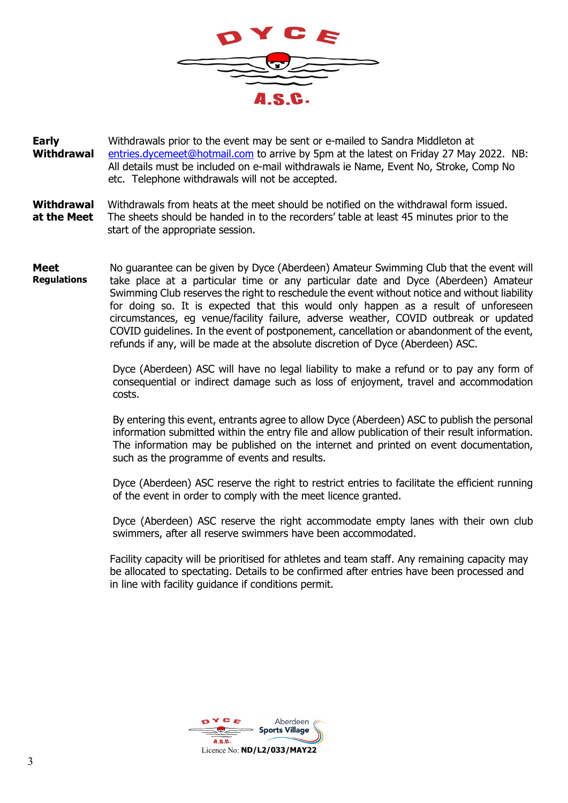

Early **Withdrawal** Withdrawals prior to the event may be sent or e-mailed to Sandra Middleton at entries.dycemeet@hotmail.com to arrive by 5pm at the latest on Friday 27 May 2022. NB: All details must be included on e-mail withdrawals ie Name, Event No, Stroke, Comp No etc. Telephone withdrawals will not be accepted.

**Withdrawal** at the Meet Withdrawals from heats at the meet should be notified on the withdrawal form issued. The sheets should be handed in to the recorders' table at least 45 minutes prior to the start of the appropriate session.

Meet Regulations No guarantee can be given by Dyce (Aberdeen) Amateur Swimming Club that the event will take place at a particular time or any particular date and Dyce (Aberdeen) Amateur Swimming Club reserves the right to reschedule the event without notice and without liability for doing so. It is expected that this would only happen as a result of unforeseen circumstances, eg venue/facility failure, adverse weather, COVID outbreak or updated COVID guidelines. In the event of postponement, cancellation or abandonment of the event, refunds if any, will be made at the absolute discretion of Dyce (Aberdeen) ASC.

> Dyce (Aberdeen) ASC will have no legal liability to make a refund or to pay any form of consequential or indirect damage such as loss of enjoyment, travel and accommodation costs.

> By entering this event, entrants agree to allow Dyce (Aberdeen) ASC to publish the personal information submitted within the entry file and allow publication of their result information. The information may be published on the internet and printed on event documentation, such as the programme of events and results.

> Dyce (Aberdeen) ASC reserve the right to restrict entries to facilitate the efficient running of the event in order to comply with the meet licence granted.

> Dyce (Aberdeen) ASC reserve the right accommodate empty lanes with their own club swimmers, after all reserve swimmers have been accommodated.

Facility capacity will be prioritised for athletes and team staff. Any remaining capacity may be allocated to spectating. Details to be confirmed after entries have been processed and in line with facility guidance if conditions permit.

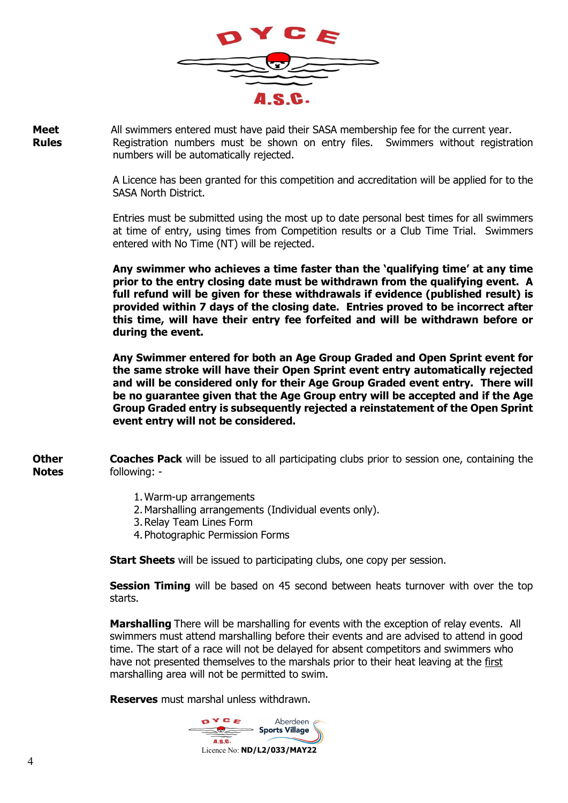

Meet Rules All swimmers entered must have paid their SASA membership fee for the current year. Registration numbers must be shown on entry files. Swimmers without registration numbers will be automatically rejected.

> A Licence has been granted for this competition and accreditation will be applied for to the SASA North District.

> Entries must be submitted using the most up to date personal best times for all swimmers at time of entry, using times from Competition results or a Club Time Trial. Swimmers entered with No Time (NT) will be rejected.

> Any swimmer who achieves a time faster than the 'qualifying time' at any time prior to the entry closing date must be withdrawn from the qualifying event. A full refund will be given for these withdrawals if evidence (published result) is provided within 7 days of the closing date. Entries proved to be incorrect after this time, will have their entry fee forfeited and will be withdrawn before or during the event.

> Any Swimmer entered for both an Age Group Graded and Open Sprint event for the same stroke will have their Open Sprint event entry automatically rejected and will be considered only for their Age Group Graded event entry. There will be no guarantee given that the Age Group entry will be accepted and if the Age Group Graded entry is subsequently rejected a reinstatement of the Open Sprint event entry will not be considered.

**Other Notes** Coaches Pack will be issued to all participating clubs prior to session one, containing the following: -

- 1.Warm-up arrangements
- 2.Marshalling arrangements (Individual events only).
- 3.Relay Team Lines Form
- 4. Photographic Permission Forms

**Start Sheets** will be issued to participating clubs, one copy per session.

**Session Timing** will be based on 45 second between heats turnover with over the top starts.

Marshalling There will be marshalling for events with the exception of relay events. All swimmers must attend marshalling before their events and are advised to attend in good time. The start of a race will not be delayed for absent competitors and swimmers who have not presented themselves to the marshals prior to their heat leaving at the first marshalling area will not be permitted to swim.

Reserves must marshal unless withdrawn.

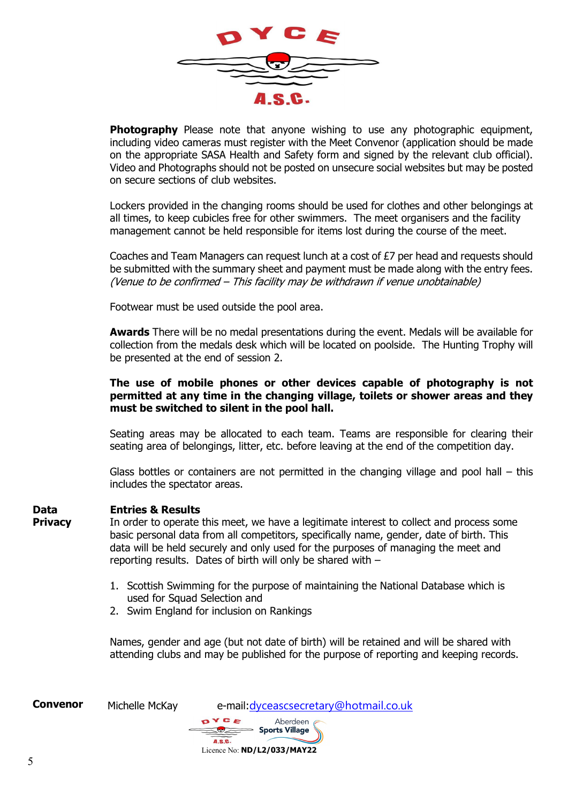

**Photography** Please note that anyone wishing to use any photographic equipment, including video cameras must register with the Meet Convenor (application should be made on the appropriate SASA Health and Safety form and signed by the relevant club official). Video and Photographs should not be posted on unsecure social websites but may be posted on secure sections of club websites.

Lockers provided in the changing rooms should be used for clothes and other belongings at all times, to keep cubicles free for other swimmers. The meet organisers and the facility management cannot be held responsible for items lost during the course of the meet.

Coaches and Team Managers can request lunch at a cost of £7 per head and requests should be submitted with the summary sheet and payment must be made along with the entry fees. (Venue to be confirmed – This facility may be withdrawn if venue unobtainable)

Footwear must be used outside the pool area.

**Awards** There will be no medal presentations during the event. Medals will be available for collection from the medals desk which will be located on poolside. The Hunting Trophy will be presented at the end of session 2.

#### The use of mobile phones or other devices capable of photography is not permitted at any time in the changing village, toilets or shower areas and they must be switched to silent in the pool hall.

Seating areas may be allocated to each team. Teams are responsible for clearing their seating area of belongings, litter, etc. before leaving at the end of the competition day.

Glass bottles or containers are not permitted in the changing village and pool hall – this includes the spectator areas.

#### Data Entries & Results

**Privacy** 

In order to operate this meet, we have a legitimate interest to collect and process some basic personal data from all competitors, specifically name, gender, date of birth. This data will be held securely and only used for the purposes of managing the meet and reporting results. Dates of birth will only be shared with –

- 1. Scottish Swimming for the purpose of maintaining the National Database which is used for Squad Selection and
- 2. Swim England for inclusion on Rankings

Names, gender and age (but not date of birth) will be retained and will be shared with attending clubs and may be published for the purpose of reporting and keeping records.

| <b>Convenor</b> | Michelle McKay | e-mail: dyceascsecretary@hotmail.co.uk         |
|-----------------|----------------|------------------------------------------------|
|                 |                | OYCE<br>Aberdeen A<br>Sports Village<br>A.S.C. |
|                 |                | Licence No: ND/L2/033/MAY22                    |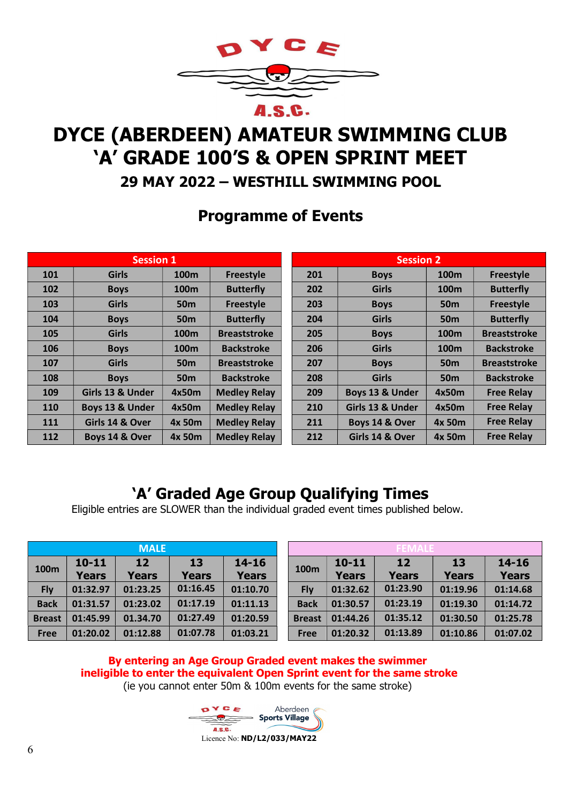

# DYCE (ABERDEEN) AMATEUR SWIMMING CLUB 'A' GRADE 100'S & OPEN SPRINT MEET

## 29 MAY 2022 – WESTHILL SWIMMING POOL

## Programme of Events

|     | <b>Session 1</b> |                  |                     | <b>Session 2</b> |                  |                  |                     |  |  |
|-----|------------------|------------------|---------------------|------------------|------------------|------------------|---------------------|--|--|
| 101 | <b>Girls</b>     | 100 <sub>m</sub> | <b>Freestyle</b>    | 201              | <b>Boys</b>      | 100 <sub>m</sub> | <b>Freestyle</b>    |  |  |
| 102 | <b>Boys</b>      | 100 <sub>m</sub> | <b>Butterfly</b>    | 202              | <b>Girls</b>     | 100 <sub>m</sub> | <b>Butterfly</b>    |  |  |
| 103 | <b>Girls</b>     | 50 <sub>m</sub>  | Freestyle           | 203              | <b>Boys</b>      | 50 <sub>m</sub>  | <b>Freestyle</b>    |  |  |
| 104 | <b>Boys</b>      | 50 <sub>m</sub>  | <b>Butterfly</b>    | 204              | <b>Girls</b>     | <b>50m</b>       | <b>Butterfly</b>    |  |  |
| 105 | <b>Girls</b>     | 100 <sub>m</sub> | <b>Breaststroke</b> | 205              | <b>Boys</b>      | 100 <sub>m</sub> | <b>Breaststroke</b> |  |  |
| 106 | <b>Boys</b>      | 100 <sub>m</sub> | <b>Backstroke</b>   | 206              | <b>Girls</b>     | 100 <sub>m</sub> | <b>Backstroke</b>   |  |  |
| 107 | <b>Girls</b>     | 50 <sub>m</sub>  | <b>Breaststroke</b> | 207              | <b>Boys</b>      | <b>50m</b>       | <b>Breaststroke</b> |  |  |
| 108 | <b>Boys</b>      | 50 <sub>m</sub>  | <b>Backstroke</b>   | 208              | <b>Girls</b>     | <b>50m</b>       | <b>Backstroke</b>   |  |  |
| 109 | Girls 13 & Under | 4x50m            | <b>Medley Relay</b> | 209              | Boys 13 & Under  | 4x50m            | <b>Free Relay</b>   |  |  |
| 110 | Boys 13 & Under  | 4x50m            | <b>Medley Relay</b> | 210              | Girls 13 & Under | 4x50m            | <b>Free Relay</b>   |  |  |
| 111 | Girls 14 & Over  | 4x 50m           | <b>Medley Relay</b> | 211              | Boys 14 & Over   | 4x 50m           | <b>Free Relay</b>   |  |  |
| 112 | Boys 14 & Over   | 4x 50m           | <b>Medley Relay</b> | 212              | Girls 14 & Over  | 4x 50m           | <b>Free Relay</b>   |  |  |

## 'A' Graded Age Group Qualifying Times

Eligible entries are SLOWER than the individual graded event times published below.

| <b>MALE</b>      |                           |                    |                    |                           |  |  |  |  |  |
|------------------|---------------------------|--------------------|--------------------|---------------------------|--|--|--|--|--|
| 100 <sub>m</sub> | $10 - 11$<br><b>Years</b> | 12<br><b>Years</b> | 13<br><b>Years</b> | $14 - 16$<br><b>Years</b> |  |  |  |  |  |
| <b>Fly</b>       | 01:32.97                  | 01:23.25           | 01:16.45           | 01:10.70                  |  |  |  |  |  |
| <b>Back</b>      | 01:31.57                  | 01:23.02           | 01:17.19           | 01:11.13                  |  |  |  |  |  |
| <b>Breast</b>    | 01:45.99                  | 01.34.70           | 01:27.49           | 01:20.59                  |  |  |  |  |  |
| Free             | 01:20.02                  | 01:12.88           | 01:07.78           | 01:03.21                  |  |  |  |  |  |

| <b>MALE</b>   |                           |                    |                    |                           |                  | <b>FEMAI</b>              |                    |                    |                           |  |  |
|---------------|---------------------------|--------------------|--------------------|---------------------------|------------------|---------------------------|--------------------|--------------------|---------------------------|--|--|
| 100m          | $10 - 11$<br><b>Years</b> | 12<br><b>Years</b> | 13<br><b>Years</b> | $14 - 16$<br><b>Years</b> | 100 <sub>m</sub> | $10 - 11$<br><b>Years</b> | 12<br><b>Years</b> | 13<br><b>Years</b> | $14 - 16$<br><b>Years</b> |  |  |
| <b>Fly</b>    | 01:32.97                  | 01:23.25           | 01:16.45           | 01:10.70                  | <b>Fly</b>       | 01:32.62                  | 01:23.90           | 01:19.96           | 01:14.68                  |  |  |
| <b>Back</b>   | 01:31.57                  | 01:23.02           | 01:17.19           | 01:11.13                  | <b>Back</b>      | 01:30.57                  | 01:23.19           | 01:19.30           | 01:14.72                  |  |  |
| <b>Breast</b> | 01:45.99                  | 01.34.70           | 01:27.49           | 01:20.59                  | <b>Breast</b>    | 01:44.26                  | 01:35.12           | 01:30.50           | 01:25.78                  |  |  |
| <b>Free</b>   | 01:20.02                  | 01:12.88           | 01:07.78           | 01:03.21                  | <b>Free</b>      | 01:20.32                  | 01:13.89           | 01:10.86           | 01:07.02                  |  |  |

#### By entering an Age Group Graded event makes the swimmer ineligible to enter the equivalent Open Sprint event for the same stroke (ie you cannot enter 50m & 100m events for the same stroke)

Aberdeen  $S$  Sports Village ASC. Licence No: ND/L2/033/MAY22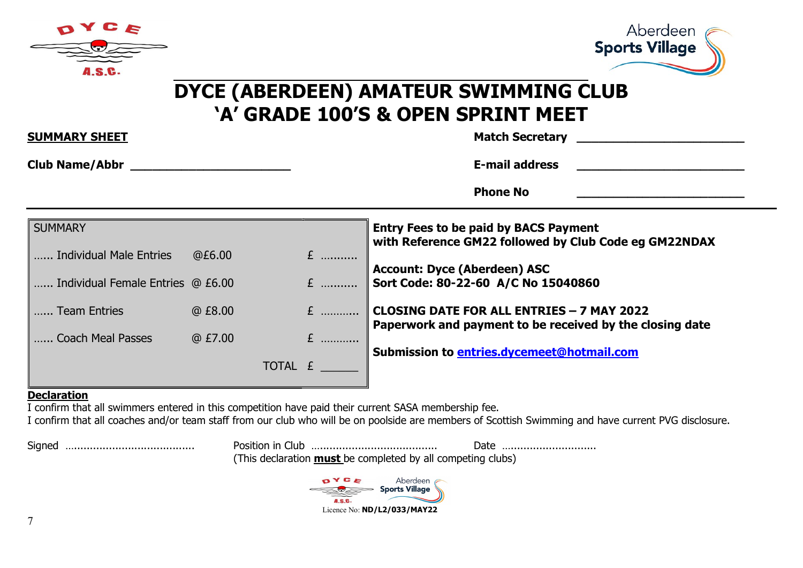



## $\overline{a}$ DYCE (ABERDEEN) AMATEUR SWIMMING CLUB 'A' GRADE 100'S & OPEN SPRINT MEET

| <b>SUMMARY SHEET</b>                                        |        |         | <b>Match Secretary</b><br><u> 1989 - Andrea State Barbara, martin da shekara tshirin a shekara tshirin a shekara tshirin a shekara tshirin</u> |                                                                                                              |  |  |  |  |
|-------------------------------------------------------------|--------|---------|------------------------------------------------------------------------------------------------------------------------------------------------|--------------------------------------------------------------------------------------------------------------|--|--|--|--|
| Club Name/Abbr Name (Abbr Name Club Name / Abbr Name Name ) |        |         |                                                                                                                                                | <b>E-mail address</b>                                                                                        |  |  |  |  |
|                                                             |        |         |                                                                                                                                                | <b>Phone No</b>                                                                                              |  |  |  |  |
| <b>SUMMARY</b>                                              |        |         |                                                                                                                                                | <b>Entry Fees to be paid by BACS Payment</b><br>with Reference GM22 followed by Club Code eg GM22NDAX        |  |  |  |  |
| Individual Male Entries                                     | @E6.00 |         | $E$                                                                                                                                            |                                                                                                              |  |  |  |  |
| Individual Female Entries @ £6.00                           |        |         | $E$                                                                                                                                            | <b>Account: Dyce (Aberdeen) ASC</b><br>Sort Code: 80-22-60 A/C No 15040860                                   |  |  |  |  |
| Team Entries                                                | @E8.00 |         | $E$                                                                                                                                            | <b>CLOSING DATE FOR ALL ENTRIES - 7 MAY 2022</b><br>Paperwork and payment to be received by the closing date |  |  |  |  |
| Coach Meal Passes                                           | @E7.00 |         | $E$                                                                                                                                            |                                                                                                              |  |  |  |  |
|                                                             |        | TOTAL £ |                                                                                                                                                | Submission to entries.dycemeet@hotmail.com                                                                   |  |  |  |  |

#### Declaration

I confirm that all swimmers entered in this competition have paid their current SASA membership fee.

I confirm that all coaches and/or team staff from our club who will be on poolside are members of Scottish Swimming and have current PVG disclosure.

Signed …...................................... Position in Club …..................................... Date …........................... (This declaration must be completed by all competing clubs)